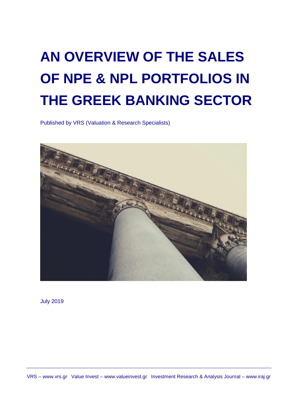# **AN OVERVIEW OF THE SALES OF NPE & NPL PORTFOLIOS IN THE GREEK BANKING SECTOR**

Published by VRS (Valuation & Research Specialists)



July 2019

VRS – www.vrs.gr Value Invest – www.valueinvest.gr Investment Research & Analysis Journal – www.iraj.gr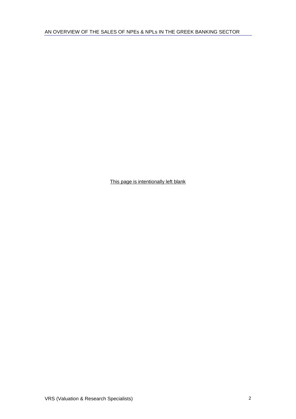This page is intentionally left blank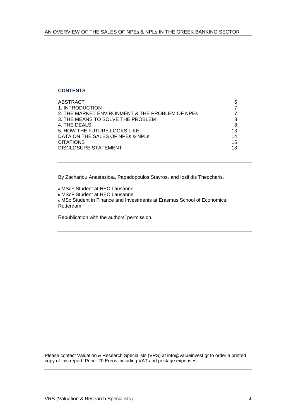## **CONTENTS**

| ABSTRACT                                        |    |
|-------------------------------------------------|----|
| 1. INTRODUCTION                                 |    |
| 2. THE MARKET ENVIRONMENT & THE PROBLEM OF NPEs |    |
| 3. THE MEANS TO SOLVE THE PROBLEM               | 8  |
| 4. THE DEALS                                    | 8  |
| 5. HOW THE FUTURE LOOKS LIKE                    | 13 |
| DATA ON THE SALES OF NPEs & NPLs                | 14 |
| <b>CITATIONS</b>                                | 15 |
| DISCLOSURE STATEMENT                            | 18 |
|                                                 |    |

By Zachariou Anastasios<sub>a</sub>, Papadopoulos Stavros<sub>b</sub> and Iosifidis Theocharisc

<sup>a</sup> MScF Student at HEC Lausanne <sup>b</sup> MScF Student at HEC Lausanne <sup>c</sup> MSc Student in Finance and Investments at Erasmus School of Economics, Rotterdam

Republication with the authors' permission.

Please contact Valuation & Research Specialists (VRS) at info@valueinvest.gr to order a printed copy of this report. Price: 20 Euros including VAT and postage expenses.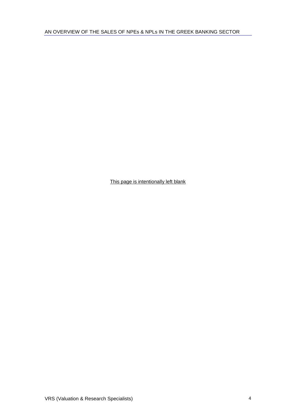This page is intentionally left blank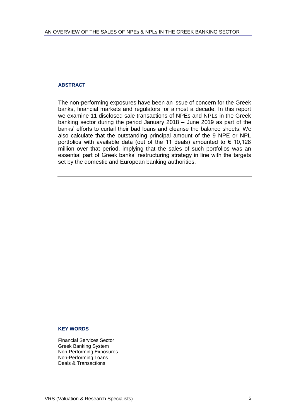## **ABSTRACT**

The non-performing exposures have been an issue of concern for the Greek banks, financial markets and regulators for almost a decade. In this report we examine 11 disclosed sale transactions of NPEs and NPLs in the Greek banking sector during the period January 2018 – June 2019 as part of the banks' efforts to curtail their bad loans and cleanse the balance sheets. We also calculate that the outstanding principal amount of the 9 NPE or NPL portfolios with available data (out of the 11 deals) amounted to  $\epsilon$  10,128 million over that period, implying that the sales of such portfolios was an essential part of Greek banks' restructuring strategy in line with the targets set by the domestic and European banking authorities.

### **KEY WORDS**

Financial Services Sector Greek Banking System Non-Performing Exposures Non-Performing Loans Deals & Transactions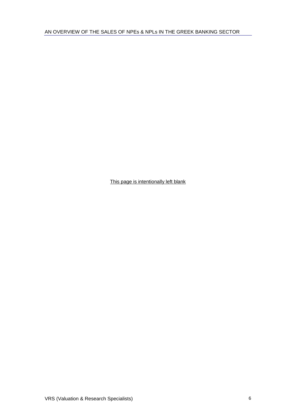This page is intentionally left blank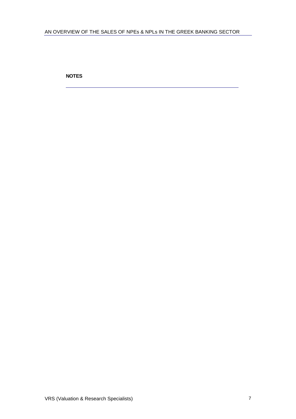**NOTES**